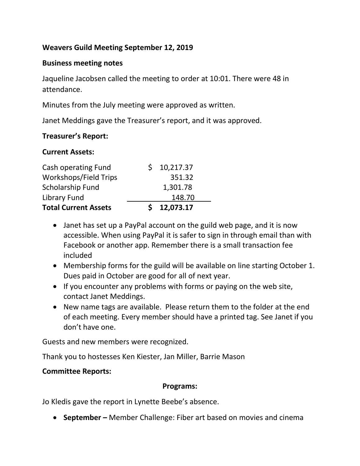### **Weavers Guild Meeting September 12, 2019**

### **Business meeting notes**

Jaqueline Jacobsen called the meeting to order at 10:01. There were 48 in attendance.

Minutes from the July meeting were approved as written.

Janet Meddings gave the Treasurer's report, and it was approved.

#### **Treasurer's Report:**

#### **Current Assets:**

| Cash operating Fund          | \$10,217.37 |
|------------------------------|-------------|
| <b>Workshops/Field Trips</b> | 351.32      |
| Scholarship Fund             | 1,301.78    |
| Library Fund                 | 148.70      |
| <b>Total Current Assets</b>  | \$12,073.17 |

- Janet has set up a PayPal account on the guild web page, and it is now accessible. When using PayPal it is safer to sign in through email than with Facebook or another app. Remember there is a small transaction fee included
- Membership forms for the guild will be available on line starting October 1. Dues paid in October are good for all of next year.
- If you encounter any problems with forms or paying on the web site, contact Janet Meddings.
- New name tags are available. Please return them to the folder at the end of each meeting. Every member should have a printed tag. See Janet if you don't have one.

Guests and new members were recognized.

Thank you to hostesses Ken Kiester, Jan Miller, Barrie Mason

### **Committee Reports:**

#### **Programs:**

Jo Kledis gave the report in Lynette Beebe's absence.

**September –** Member Challenge: Fiber art based on movies and cinema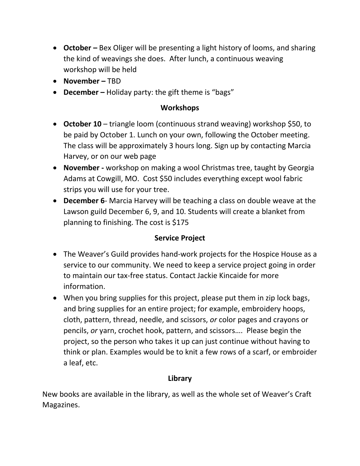- **October –** Bex Oliger will be presenting a light history of looms, and sharing the kind of weavings she does. After lunch, a continuous weaving workshop will be held
- **November –** TBD
- **December –** Holiday party: the gift theme is "bags"

# **Workshops**

- **October 10** triangle loom (continuous strand weaving) workshop \$50, to be paid by October 1. Lunch on your own, following the October meeting. The class will be approximately 3 hours long. Sign up by contacting Marcia Harvey, or on our web page
- **November -** workshop on making a wool Christmas tree, taught by Georgia Adams at Cowgill, MO. Cost \$50 includes everything except wool fabric strips you will use for your tree.
- **December 6** Marcia Harvey will be teaching a class on double weave at the Lawson guild December 6, 9, and 10. Students will create a blanket from planning to finishing. The cost is \$175

# **Service Project**

- The Weaver's Guild provides hand-work projects for the Hospice House as a service to our community. We need to keep a service project going in order to maintain our tax-free status. Contact Jackie Kincaide for more information.
- When you bring supplies for this project, please put them in zip lock bags, and bring supplies for an entire project; for example, embroidery hoops, cloth, pattern, thread, needle, and scissors, *or* color pages and crayons or pencils, *or* yarn, crochet hook, pattern, and scissors…. Please begin the project, so the person who takes it up can just continue without having to think or plan. Examples would be to knit a few rows of a scarf, or embroider a leaf, etc.

# **Library**

New books are available in the library, as well as the whole set of Weaver's Craft Magazines.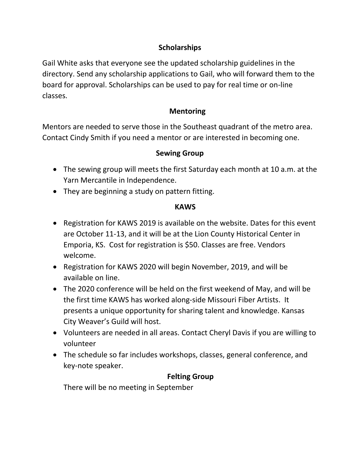# **Scholarships**

Gail White asks that everyone see the updated scholarship guidelines in the directory. Send any scholarship applications to Gail, who will forward them to the board for approval. Scholarships can be used to pay for real time or on-line classes.

# **Mentoring**

Mentors are needed to serve those in the Southeast quadrant of the metro area. Contact Cindy Smith if you need a mentor or are interested in becoming one.

# **Sewing Group**

- The sewing group will meets the first Saturday each month at 10 a.m. at the Yarn Mercantile in Independence.
- They are beginning a study on pattern fitting.

### **KAWS**

- Registration for KAWS 2019 is available on the website. Dates for this event are October 11-13, and it will be at the Lion County Historical Center in Emporia, KS. Cost for registration is \$50. Classes are free. Vendors welcome.
- Registration for KAWS 2020 will begin November, 2019, and will be available on line.
- The 2020 conference will be held on the first weekend of May, and will be the first time KAWS has worked along-side Missouri Fiber Artists. It presents a unique opportunity for sharing talent and knowledge. Kansas City Weaver's Guild will host.
- Volunteers are needed in all areas. Contact Cheryl Davis if you are willing to volunteer
- The schedule so far includes workshops, classes, general conference, and key-note speaker.

# **Felting Group**

There will be no meeting in September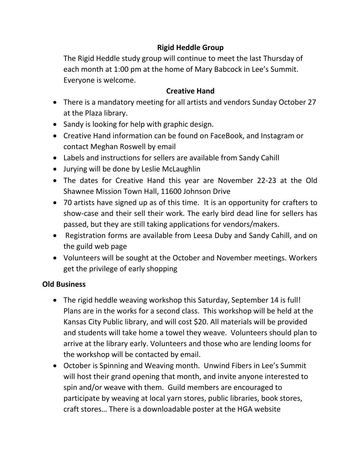# **Rigid Heddle Group**

The Rigid Heddle study group will continue to meet the last Thursday of each month at 1:00 pm at the home of Mary Babcock in Lee's Summit. Everyone is welcome.

### **Creative Hand**

- There is a mandatory meeting for all artists and vendors Sunday October 27 at the Plaza library.
- Sandy is looking for help with graphic design.
- Creative Hand information can be found on FaceBook, and Instagram or contact Meghan Roswell by email
- Labels and instructions for sellers are available from Sandy Cahill
- Jurying will be done by Leslie McLaughlin
- The dates for Creative Hand this year are November 22-23 at the Old Shawnee Mission Town Hall, 11600 Johnson Drive
- 70 artists have signed up as of this time. It is an opportunity for crafters to show-case and their sell their work. The early bird dead line for sellers has passed, but they are still taking applications for vendors/makers.
- Registration forms are available from Leesa Duby and Sandy Cahill, and on the guild web page
- Volunteers will be sought at the October and November meetings. Workers get the privilege of early shopping

# **Old Business**

- The rigid heddle weaving workshop this Saturday, September 14 is full! Plans are in the works for a second class. This workshop will be held at the Kansas City Public library, and will cost \$20. All materials will be provided and students will take home a towel they weave. Volunteers should plan to arrive at the library early. Volunteers and those who are lending looms for the workshop will be contacted by email.
- October is Spinning and Weaving month. Unwind Fibers in Lee's Summit will host their grand opening that month, and invite anyone interested to spin and/or weave with them. Guild members are encouraged to participate by weaving at local yarn stores, public libraries, book stores, craft stores… There is a downloadable poster at the HGA website